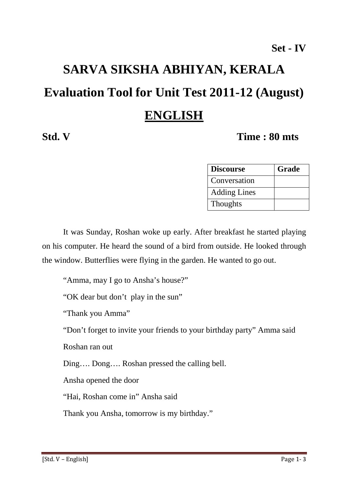# **SARVA SIKSHA ABHIYAN, KERALA Evaluation Tool for Unit Test 2011-12 (August) ENGLISH**

#### **Std. V Time : 80 mts**

| <b>Discourse</b>    | Grade |
|---------------------|-------|
| Conversation        |       |
| <b>Adding Lines</b> |       |
| <b>Thoughts</b>     |       |

 It was Sunday, Roshan woke up early. After breakfast he started playing on his computer. He heard the sound of a bird from outside. He looked through the window. Butterflies were flying in the garden. He wanted to go out.

"Amma, may I go to Ansha's house?"

"OK dear but don't play in the sun"

"Thank you Amma"

"Don't forget to invite your friends to your birthday party" Amma said

Roshan ran out

Ding…. Dong…. Roshan pressed the calling bell.

Ansha opened the door

"Hai, Roshan come in" Ansha said

Thank you Ansha, tomorrow is my birthday."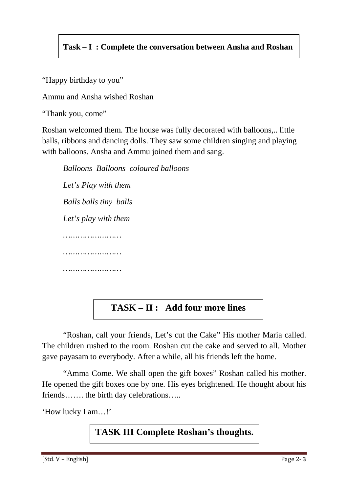#### **Task – I : Complete the conversation between Ansha and Roshan**

"Happy birthday to you"

Ammu and Ansha wished Roshan

"Thank you, come"

Roshan welcomed them. The house was fully decorated with balloons,.. little balls, ribbons and dancing dolls. They saw some children singing and playing with balloons. Ansha and Ammu joined them and sang.

*Balloons Balloons coloured balloons Let's Play with them Balls balls tiny balls Let's play with them …………………… …………………… ……………………* 

### **TASK – II : Add four more lines**

 "Roshan, call your friends, Let's cut the Cake" His mother Maria called. The children rushed to the room. Roshan cut the cake and served to all. Mother gave payasam to everybody. After a while, all his friends left the home.

 "Amma Come. We shall open the gift boxes" Roshan called his mother. He opened the gift boxes one by one. His eyes brightened. He thought about his friends……. the birth day celebrations…..

'How lucky I am…!'

#### **TASK III Complete Roshan's thoughts.**